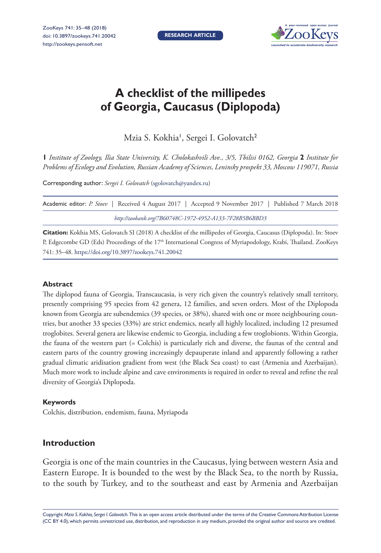

# **A checklist of the millipedes of Georgia, Caucasus (Diplopoda)**

Mzia S. Kokhia', Sergei I. Golovatch<sup>2</sup>

**1** *Institute of Zoology, Ilia State University, K. Cholokashvili Ave., 3/5, Tbilisi 0162, Georgia* **2** *Institute for Problems of Ecology and Evolution, Russian Academy of Sciences, Leninsky prospekt 33, Moscow 119071, Russia*

Corresponding author: *Sergei I. Golovatch* ([sgolovatch@yandex.ru\)](mailto:sgolovatch@yandex.ru)

| Academic editor: P. Stoev   Received 4 August 2017   Accepted 9 November 2017   Published 7 March 2018 |
|--------------------------------------------------------------------------------------------------------|
| http://zoobank.org/7B60748C-1972-4952-A133-7F28B5B6BBD3                                                |

**Citation:** Kokhia MS, Golovatch SI (2018) A checklist of the millipedes of Georgia, Caucasus (Diplopoda). In: Stoev P, Edgecombe GD (Eds) Proceedings of the 17<sup>th</sup> International Congress of Myriapodology, Krabi, Thailand. ZooKeys 741: 35–48.<https://doi.org/10.3897/zookeys.741.20042>

### **Abstract**

The diplopod fauna of Georgia, Transcaucasia, is very rich given the country's relatively small territory, presently comprising 95 species from 42 genera, 12 families, and seven orders. Most of the Diplopoda known from Georgia are subendemics (39 species, or 38%), shared with one or more neighbouring countries, but another 33 species (33%) are strict endemics, nearly all highly localized, including 12 presumed troglobites. Several genera are likewise endemic to Georgia, including a few troglobionts. Within Georgia, the fauna of the western part (= Colchis) is particularly rich and diverse, the faunas of the central and eastern parts of the country growing increasingly depauperate inland and apparently following a rather gradual climatic aridisation gradient from west (the Black Sea coast) to east (Armenia and Azerbaijan). Much more work to include alpine and cave environments is required in order to reveal and refine the real diversity of Georgia's Diplopoda.

### **Keywords**

Colchis, distribution, endemism, fauna, Myriapoda

## **Introduction**

Georgia is one of the main countries in the Caucasus, lying between western Asia and Eastern Europe. It is bounded to the west by the Black Sea, to the north by Russia, to the south by Turkey, and to the southeast and east by Armenia and Azerbaijan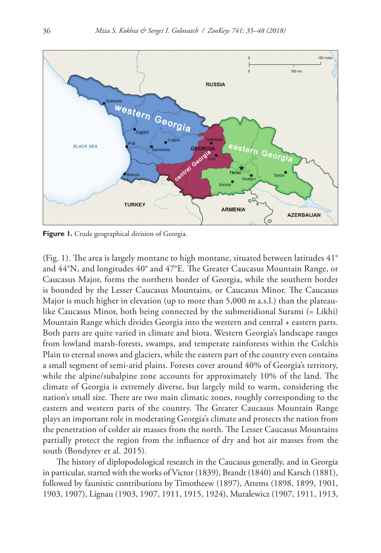

**Figure 1.** Crude geographical division of Georgia.

(Fig. 1). The area is largely montane to high montane, situated between latitudes 41° and 44°N, and longitudes 40° and 47°E. The Greater Caucasus Mountain Range, or Caucasus Major, forms the northern border of Georgia, while the southern border is bounded by the Lesser Caucasus Mountains, or Caucasus Minor. The Caucasus Major is much higher in elevation (up to more than 5,000 m a.s.l.) than the plateaulike Caucasus Minor, both being connected by the submeridional Surami (= Likhi) Mountain Range which divides Georgia into the western and central + eastern parts. Both parts are quite varied in climate and biota. Western Georgia's landscape ranges from lowland marsh-forests, swamps, and temperate rainforests within the Colchis Plain to eternal snows and glaciers, while the eastern part of the country even contains a small segment of semi-arid plains. Forests cover around 40% of Georgia's territory, while the alpine/subalpine zone accounts for approximately 10% of the land. The climate of Georgia is extremely diverse, but largely mild to warm, considering the nation's small size. There are two main climatic zones, roughly corresponding to the eastern and western parts of the country. The Greater Caucasus Mountain Range plays an important role in moderating Georgia's climate and protects the nation from the penetration of colder air masses from the north. The Lesser Caucasus Mountains partially protect the region from the influence of dry and hot air masses from the south (Bondyrev et al. 2015).

The history of diplopodological research in the Caucasus generally, and in Georgia in particular, started with the works of Victor (1839), Brandt (1840) and Karsch (1881), followed by faunistic contributions by Timotheew (1897), Attems (1898, 1899, 1901, 1903, 1907), Lignau (1903, 1907, 1911, 1915, 1924), Muralewicz (1907, 1911, 1913,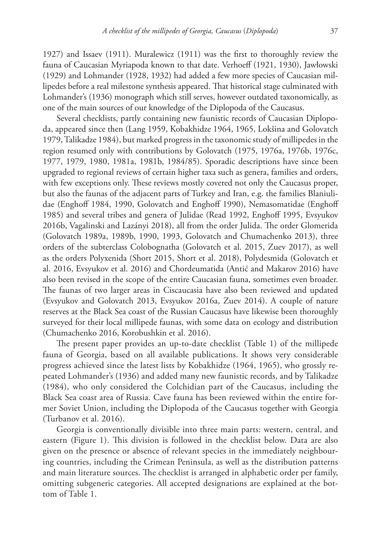1927) and Issaev (1911). Muralewicz (1911) was the first to thoroughly review the fauna of Caucasian Myriapoda known to that date. Verhoeff (1921, 1930), Jawłowski (1929) and Lohmander (1928, 1932) had added a few more species of Caucasian millipedes before a real milestone synthesis appeared. That historical stage culminated with Lohmander's (1936) monograph which still serves, however outdated taxonomically, as one of the main sources of our knowledge of the Diplopoda of the Caucasus.

Several checklists, partly containing new faunistic records of Caucasian Diplopoda, appeared since then (Lang 1959, Kobakhidze 1964, 1965, Lokšina and Golovatch 1979, Talikadze 1984), but marked progress in the taxonomic study of millipedes in the region resumed only with contributions by Golovatch (1975, 1976a, 1976b, 1976c, 1977, 1979, 1980, 1981a, 1981b, 1984/85). Sporadic descriptions have since been upgraded to regional reviews of certain higher taxa such as genera, families and orders, with few exceptions only. These reviews mostly covered not only the Caucasus proper, but also the faunas of the adjacent parts of Turkey and Iran, e.g. the families Blaniulidae (Enghoff 1984, 1990, Golovatch and Enghoff 1990), Nemasomatidae (Enghoff 1985) and several tribes and genera of Julidae (Read 1992, Enghoff 1995, Evsyukov 2016b, Vagalinski and Lazányi 2018), all from the order Julida. The order Glomerida (Golovatch 1989a, 1989b, 1990, 1993, Golovatch and Chumachenko 2013), three orders of the subterclass Colobognatha (Golovatch et al. 2015, Zuev 2017), as well as the orders Polyxenida (Short 2015, Short et al. 2018), Polydesmida (Golovatch et al. 2016, Evsyukov et al. 2016) and Chordeumatida (Antić and Makarov 2016) have also been revised in the scope of the entire Caucasian fauna, sometimes even broader. The faunas of two larger areas in Ciscaucasia have also been reviewed and updated (Evsyukov and Golovatch 2013, Evsyukov 2016a, Zuev 2014). A couple of nature reserves at the Black Sea coast of the Russian Caucasus have likewise been thoroughly surveyed for their local millipede faunas, with some data on ecology and distribution (Chumachenko 2016, Korobushkin et al. 2016).

The present paper provides an up-to-date checklist (Table 1) of the millipede fauna of Georgia, based on all available publications. It shows very considerable progress achieved since the latest lists by Kobakhidze (1964, 1965), who grossly repeated Lohmander's (1936) and added many new faunistic records, and by Talikadze (1984), who only considered the Colchidian part of the Caucasus, including the Black Sea coast area of Russia. Cave fauna has been reviewed within the entire former Soviet Union, including the Diplopoda of the Caucasus together with Georgia (Turbanov et al. 2016).

Georgia is conventionally divisible into three main parts: western, central, and eastern (Figure 1). This division is followed in the checklist below. Data are also given on the presence or absence of relevant species in the immediately neighbouring countries, including the Crimean Peninsula, as well as the distribution patterns and main literature sources. The checklist is arranged in alphabetic order per family, omitting subgeneric categories. All accepted designations are explained at the bottom of Table 1.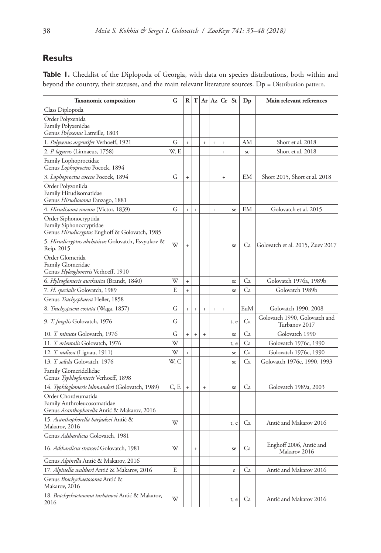# **Results**

Table 1. Checklist of the Diplopoda of Georgia, with data on species distributions, both within and beyond the country, their statuses, and the main relevant literature sources. Dp = Distribution pattern.

| <b>Taxonomic composition</b>                                                                      | G    |            |           |                                  |            | R T Ar Az Cr | <b>St</b> | $D_{p}$   | Main relevant references                       |
|---------------------------------------------------------------------------------------------------|------|------------|-----------|----------------------------------|------------|--------------|-----------|-----------|------------------------------------------------|
| Class Diplopoda                                                                                   |      |            |           |                                  |            |              |           |           |                                                |
| Order Polyxenida<br>Family Polyxenidae<br>Genus Polyxenus Latreille, 1803                         |      |            |           |                                  |            |              |           |           |                                                |
| 1. Polyxenus argentifer Verhoeff, 1921                                                            | G    | $\ddot{+}$ |           | $\ddot{+}$                       | $\ddot{+}$ | $\ddot{}$    |           | AM        | Short et al. 2018                              |
| 2. P. lagurus (Linnaeus, 1758)                                                                    | W, E |            |           |                                  |            | $\ddot{}$    |           | SC        | Short et al. 2018                              |
| Family Lophoproctidae<br>Genus Lophoproctus Pocock, 1894                                          |      |            |           |                                  |            |              |           |           |                                                |
| 3. Lophoproctus coecus Pocock, 1894                                                               | G    | $\ddot{}$  |           |                                  |            | $\ddot{+}$   |           | <b>EM</b> | Short 2015, Short et al. 2018                  |
| Order Polyzoniida<br>Family Hirudisomatidae<br>Genus Hirudiosoma Fanzago, 1881                    |      |            |           |                                  |            |              |           |           |                                                |
| 4. Hirudisoma roseum (Victor, 1839)                                                               | G    | $\ddot{}$  | $\ddot{}$ |                                  | $\ddot{}$  |              | se        | EM        | Golovatch et al. 2015                          |
| Order Siphonocryptida<br>Family Siphonocryptidae<br>Genus Hirudicryptus Enghoff & Golovatch, 1985 |      |            |           |                                  |            |              |           |           |                                                |
| 5. <i>Hirudicryptus abchasicus</i> Golovatch, Esvyukov &<br>Reip, 2015                            | W    | $^{+}$     |           |                                  |            |              | se        | Ca        | Golovatch et al. 2015, Zuev 2017               |
| Order Glomerida<br>Family Glomeridae<br>Genus Hyleoglomeris Verhoeff, 1910                        |      |            |           |                                  |            |              |           |           |                                                |
| 6. Hyleoglomeris awchasica (Brandt, 1840)                                                         | W    | $\ddot{}$  |           |                                  |            |              | se        | Ca        | Golovatch 1976a, 1989b                         |
| 7. H. specialis Golovatch, 1989                                                                   | E    | $\ddot{}$  |           |                                  |            |              | se        | Ca        | Golovatch 1989b                                |
| Genus Trachysphaera Heller, 1858                                                                  |      |            |           |                                  |            |              |           |           |                                                |
| 8. Trachyspaera costata (Waga, 1857)                                                              | G    | $\ddot{}$  | $\ddot{}$ | $\ddot{}$                        | $\ddot{}$  | $\ddot{}$    |           | EuM       | Golovatch 1990, 2008                           |
| 9. T. fragilis Golovatch, 1976                                                                    | G    |            |           |                                  |            |              | t, e      | Ca        | Golovatch 1990, Golovatch and<br>Turbanov 2017 |
| 10. T. minuta Golovatch, 1976                                                                     | G    | $\ddot{}$  | $\ddot{}$ | $\begin{array}{c} + \end{array}$ |            |              | se        | Ca        | Golovatch 1990                                 |
| 11. T. orientalis Golovatch, 1976                                                                 | W    |            |           |                                  |            |              | t, e      | Ca        | Golovatch 1976c, 1990                          |
| 12. T. radiosa (Lignau, 1911)                                                                     | W    | $\ddot{}$  |           |                                  |            |              | se        | Ca        | Golovatch 1976c, 1990                          |
| 13. T. solida Golovatch, 1976                                                                     | W, C |            |           |                                  |            |              | se        | Ca        | Golovatch 1976c, 1990, 1993                    |
| Family Glomeridellidae<br>Genus Typhloglomeris Verhoeff, 1898                                     |      |            |           |                                  |            |              |           |           |                                                |
| 14. Typhloglomeris lohmanderi (Golovatch, 1989)                                                   | C, E | $\ddot{}$  |           | $\ddot{\phantom{1}}$             |            |              | se        | Ca        | Golovatch 1989a, 2003                          |
| Order Chordeumatida<br>Family Anthroleucosomatidae<br>Genus Acanthophorella Antić & Makarov, 2016 |      |            |           |                                  |            |              |           |           |                                                |
| 15. Acanthophorella barjadzei Antić &<br>Makarov, 2016                                            | W    |            |           |                                  |            |              | t, e      | Ca        | Antić and Makarov 2016                         |
| Genus Adshardicus Golovatch, 1981                                                                 |      |            |           |                                  |            |              |           |           |                                                |
| 16. Adshardicus strasseri Golovatch, 1981                                                         | W    |            | $\ddot{}$ |                                  |            |              | se        | Ca        | Enghoff 2006, Antić and<br>Makarov 2016        |
| Genus Alpinella Antić & Makarov, 2016                                                             |      |            |           |                                  |            |              |           |           |                                                |
| 17. Alpinella waltheri Antić & Makarov, 2016                                                      | E    |            |           |                                  |            |              | e         | Ca        | Antić and Makarov 2016                         |
| Genus Brachychaetosoma Antić &<br>Makarov, 2016                                                   |      |            |           |                                  |            |              |           |           |                                                |
| 18. Brachychaetosoma turbanovi Antić & Makarov,<br>2016                                           | W    |            |           |                                  |            |              | t, e      | Ca        | Antić and Makarov 2016                         |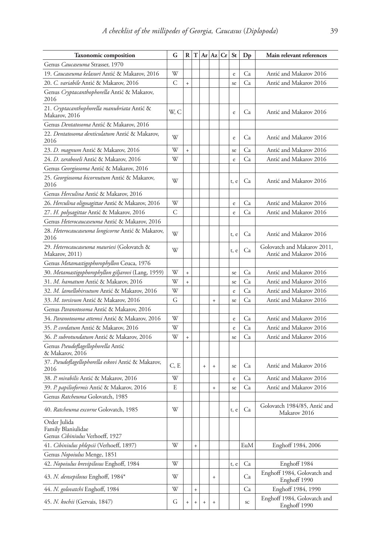| <b>Taxonomic composition</b>                                          | G    | R         | ΙT        |           | $Ar$ $Az$ $Cr$ | <b>St</b> | $D_{p}$                  | Main relevant references                              |
|-----------------------------------------------------------------------|------|-----------|-----------|-----------|----------------|-----------|--------------------------|-------------------------------------------------------|
| Genus Caucaseuma Strasser, 1970                                       |      |           |           |           |                |           |                          |                                                       |
| 19. Caucaseuma kelasuri Antić & Makarov, 2016                         | W    |           |           |           |                | e         | Ca                       | Antić and Makarov 2016                                |
| 20. C. variabile Antić & Makarov, 2016                                | С    | $\ddot{}$ |           |           |                | se        | Ca                       | Antić and Makarov 2016                                |
| Genus Cryptacanthophorella Antić & Makarov,<br>2016                   |      |           |           |           |                |           |                          |                                                       |
| 21. Cryptacanthophorella manubriata Antić &<br>Makarov, 2016          | W, C |           |           |           |                | e         | Ca                       | Antić and Makarov 2016                                |
| Genus Dentatosoma Antić & Makarov, 2016                               |      |           |           |           |                |           |                          |                                                       |
| 22. Dentatosoma denticulatum Antić & Makarov,<br>2016                 | W    |           |           |           |                | e         | Ca                       | Antić and Makarov 2016                                |
| 23. D. magnum Antić & Makarov, 2016                                   | W    | $\ddot{}$ |           |           |                | se        | Ca                       | Antić and Makarov 2016                                |
| 24. D. zeraboseli Antić & Makarov, 2016                               | W    |           |           |           |                | e         | Ca                       | Antić and Makarov 2016                                |
| Genus Georgiosoma Antić & Makarov, 2016                               |      |           |           |           |                |           |                          |                                                       |
| 25. Georgiosoma bicornutum Antić & Makarov,<br>2016                   | W    |           |           |           |                | t, e      | Ca                       | Antić and Makarov 2016                                |
| Genus Herculina Antić & Makarov, 2016                                 |      |           |           |           |                |           |                          |                                                       |
| 26. Herculina oligosagittae Antić & Makarov, 2016                     | W    |           |           |           |                | e         | Ca                       | Antić and Makarov 2016                                |
| 27. H. polysagittae Antić & Makarov, 2016                             | С    |           |           |           |                | e         | Ca                       | Antić and Makarov 2016                                |
| Genus Heterocaucaseuma Antić & Makarov, 2016                          |      |           |           |           |                |           |                          |                                                       |
| 28. Heterocaucaseuma longicorne Antić & Makarov,<br>2016              | W    |           |           |           |                | t, e      | Ca                       | Antić and Makarov 2016                                |
| 29. Heterocaucaseuma mauriesi (Golovatch &<br>Makarov, 2011)          | W    |           |           |           |                | t, e      | Ca                       | Golovatch and Makarov 2011,<br>Antić and Makarov 2016 |
| Genus Metamastigophorophyllon Ceuca, 1976                             |      |           |           |           |                |           |                          |                                                       |
| 30. Metamastigophorophyllon giljarovi (Lang, 1959)                    | W    | $\ddot{}$ |           |           |                | se        | Ca                       | Antić and Makarov 2016                                |
| 31. M. hamatum Antić & Makarov, 2016                                  | W    |           |           |           |                | se        | Ca                       | Antić and Makarov 2016                                |
| 32. M. lamellohirsutum Antić & Makarov, 2016                          | W    |           |           |           |                | e         | Ca                       | Antić and Makarov 2016                                |
| 33. M. torsivum Antić & Makarov, 2016                                 | G    |           |           |           | $\ddot{}$      | se        | Ca                       | Antić and Makarov 2016                                |
| Genus Paranotosoma Antić & Makarov, 2016                              |      |           |           |           |                |           |                          |                                                       |
| 34. Paranotosoma attemsi Antić & Makarov, 2016                        | W    |           |           |           |                | e         | Ca                       | Antić and Makarov 2016                                |
| 35. P. cordatum Antić & Makarov, 2016                                 | W    |           |           |           |                | e         | Ca                       | Antić and Makarov 2016                                |
| 36. P. subrotundatum Antić & Makarov, 2016                            | W    | $\ddot{}$ |           |           |                | se        | Ca                       | Antić and Makarov 2016                                |
| Genus Pseudoflagellophorella Antić<br>& Makarov, 2016                 |      |           |           |           |                |           |                          |                                                       |
| 37. Pseudoflagellophorella eskovi Antić & Makarov,<br>2016            | C, E |           |           | $\ddot{}$ | $\ddot{}$      | se        | Ca                       | Antić and Makarov 2016                                |
| 38. P. mirabilis Antić & Makarov, 2016                                | W    |           |           |           |                | e         | Ca                       | Antić and Makarov 2016                                |
| 39. P. papilioformis Antić & Makarov, 2016                            | E    |           |           |           | $\ddot{}$      | se        | Ca                       | Antić and Makarov 2016                                |
| Genus Ratcheuma Golovatch, 1985                                       |      |           |           |           |                |           |                          |                                                       |
| 40. Ratcheuma excorne Golovatch, 1985                                 | W    |           |           |           |                | t, e      | Ca                       | Golovatch 1984/85, Antić and<br>Makarov 2016          |
| Order Julida<br>Family Blaniulidae<br>Genus Cibiniulus Verhoeff, 1927 |      |           |           |           |                |           |                          |                                                       |
| 41. Cibiniulus phlepsii (Verhoeff, 1897)                              | W    |           | $\ddot{}$ |           |                |           | EuM                      | Enghoff 1984, 2006                                    |
| Genus Nopoiulus Menge, 1851                                           |      |           |           |           |                |           |                          |                                                       |
| 42. Nopoiulus brevipilosus Enghoff, 1984                              | W    |           |           |           |                | t, e      | Ca                       | Enghoff 1984                                          |
| 43. N. densepilosus Enghoff, 1984*                                    | W    |           |           |           | $^{+}$         |           | Ca                       | Enghoff 1984, Golovatch and<br>Enghoff 1990           |
| 44. N. golovatchi Enghoff, 1984                                       | W    |           | $\ddot{}$ |           |                |           | Ca                       | Enghoff 1984, 1990                                    |
| 45. N. kochii (Gervais, 1847)                                         | G    | $^{+}$    | $\, +$    | $\ddot{}$ | $^{+}$         |           | $\ensuremath{\text{sc}}$ | Enghoff 1984, Golovatch and<br>Enghoff 1990           |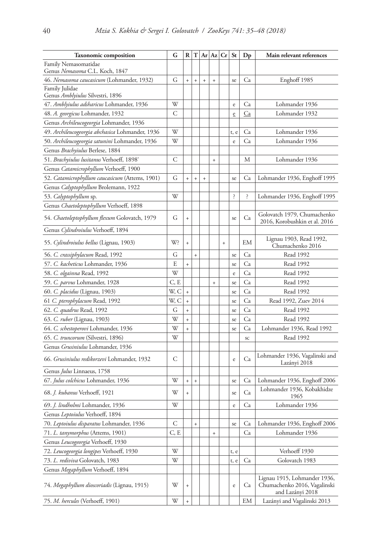| <b>Taxonomic composition</b>                           | G    | R         | т         |           | Ar Az Cr  |           | <b>St</b> | $D_{p}$   | Main relevant references                                                         |
|--------------------------------------------------------|------|-----------|-----------|-----------|-----------|-----------|-----------|-----------|----------------------------------------------------------------------------------|
| Family Nemasomatidae<br>Genus Nemasoma C.L. Koch, 1847 |      |           |           |           |           |           |           |           |                                                                                  |
| 46. Nemasoma caucasicum (Lohmander, 1932)              | G    | $\ddot{}$ | $\ddot{}$ | $\ddot{}$ | $\ddot{}$ |           | se        | Ca        | Enghoff 1985                                                                     |
| Family Julidae<br>Genus Amblyiulus Silvestri, 1896     |      |           |           |           |           |           |           |           |                                                                                  |
| 47. Amblyiulus adsharicus Lohmander, 1936              | W    |           |           |           |           |           | e         | Ca        | Lohmander 1936                                                                   |
| 48. A. georgicus Lohmander, 1932                       | С    |           |           |           |           |           | e         | <u>Ca</u> | Lohmander 1932                                                                   |
| Genus Archileucogeorgia Lohmander, 1936                |      |           |           |           |           |           |           |           |                                                                                  |
| 49. Archileucogeorgia abchasica Lohmander, 1936        | W    |           |           |           |           |           | t, e      | Ca        | Lohmander 1936                                                                   |
| 50. Archileucogeorgia satunini Lohmander, 1936         | W    |           |           |           |           |           | e         | Ca        | Lohmander 1936                                                                   |
| Genus Brachyiulus Berlese, 1884                        |      |           |           |           |           |           |           |           |                                                                                  |
| 51. Brachyiulus lusitanus Verhoeff, 1898'              | C    |           |           |           | $^{+}$    |           |           | М         | Lohmander 1936                                                                   |
| Genus <i>Catamicrophyllum</i> Verhoeff, 1900           |      |           |           |           |           |           |           |           |                                                                                  |
| 52. Catamicrophyllum caucasicum (Attems, 1901)         | G    | $^{+}$    | $^{+}$    | $\ddot{}$ |           |           | se        | Ca        | Lohmander 1936, Enghoff 1995                                                     |
| Genus Calyptophyllum Brolemann, 1922                   |      |           |           |           |           |           |           |           |                                                                                  |
| 53. Calyptophyllum sp.                                 | W    |           |           |           |           |           | ì.        | Ś.        | Lohmander 1936, Enghoff 1995                                                     |
| Genus Chaetoleptophyllum Verhoeff, 1898                |      |           |           |           |           |           |           |           |                                                                                  |
| 54. Chaetoleptophyllum flexum Golovatch, 1979          | G    | $\ddot{}$ |           |           |           |           | se        | Ca        | Golovatch 1979, Chumachenko<br>2016, Korobushkin et al. 2016                     |
| Genus Cylindroiulus Verhoeff, 1894                     |      |           |           |           |           |           |           |           |                                                                                  |
| 55. <i>Cylindroiulus bellus</i> (Lignau, 1903)         | W?   | $^{+}$    |           |           |           | $\ddot{}$ |           | EМ        | Lignau 1903, Read 1992,<br>Chumachenko 2016                                      |
| 56. C. crassiphylacum Read, 1992                       | G    |           | $\ddot{}$ |           |           |           | se        | Ca        | Read 1992                                                                        |
| 57. C. kacheticus Lohmander, 1936                      | E    | $^{+}$    |           |           |           |           | se        | Ca        | Read 1992                                                                        |
| 58. <i>C. olgainna</i> Read, 1992                      | W    |           |           |           |           |           | $\rm e$   | Ca        | Read 1992                                                                        |
| 59. C. parvus Lohmander, 1928                          | C, E |           |           |           | $^{+}$    |           | se        | Ca        | Read 1992                                                                        |
| 60. C. placidus (Lignau, 1903)                         | W, C | $\ddot{}$ |           |           |           |           | se        | Ca        | Read 1992                                                                        |
| 61 C. pterophylacum Read, 1992                         | W, C | $\ddot{}$ |           |           |           |           | se        | Ca        | Read 1992, Zuev 2014                                                             |
| 62. C. quadrus Read, 1992                              | G    | $^{+}$    |           |           |           |           | se        | Ca        | Read 1992                                                                        |
| 63. C. ruber (Lignau, 1903)                            | W    | $\ddot{}$ |           |           |           |           | se        | Ca        | Read 1992                                                                        |
| 64. C. schestoperovi Lohmander, 1936                   | W    | $\ddot{}$ |           |           |           |           | se        | Ca        | Lohmander 1936, Read 1992                                                        |
| 65. C. truncorum (Silvestri, 1896)                     | W    |           |           |           |           |           |           | SC        | Read 1992                                                                        |
| Genus <i>Grusiniulus</i> Lohmander, 1936               |      |           |           |           |           |           |           |           |                                                                                  |
| 66. Grusiniulus redikorzevi Lohmander, 1932            | С    |           |           |           |           |           | e         | Ca        | Lohmander 1936, Vagalinski and<br>Lazányi 2018                                   |
| Genus Julus Linnaeus, 1758                             |      |           |           |           |           |           |           |           |                                                                                  |
| 67. Julus colchicus Lohmander, 1936                    | W    | $^{+}$    | $\ddot{}$ |           |           |           | se        | Ca        | Lohmander 1936, Enghoff 2006                                                     |
| 68. J. kubanus Verhoeff, 1921                          | W    | $\ddot{}$ |           |           |           |           | se        | Ca        | Lohmander 1936, Kobakhidze<br>1965                                               |
| 69. J. lindholmi Lohmander, 1936                       | W    |           |           |           |           |           | e         | Ca        | Lohmander 1936                                                                   |
| Genus Leptoiulus Verhoeff, 1894                        |      |           |           |           |           |           |           |           |                                                                                  |
| 70. Leptoiulus disparatus Lohmander, 1936              | С    |           | $\ddot{}$ |           |           |           | se        | Ca        | Lohmander 1936, Enghoff 2006                                                     |
| 71. L. tanymorphus (Attems, 1901)                      | C, E |           |           |           | $^{+}$    |           |           | Ca        | Lohmander 1936                                                                   |
| Genus Leucogeorgia Verhoeff, 1930                      |      |           |           |           |           |           |           |           |                                                                                  |
| 72. Leucogeorgia longipes Verhoeff, 1930               | W    |           |           |           |           |           | t, e      |           | Verhoeff 1930                                                                    |
| 73. L. rediviva Golovatch, 1983                        | W    |           |           |           |           |           | t, e      | Ca        | Golovatch 1983                                                                   |
| Genus Megaphyllum Verhoeff, 1894                       |      |           |           |           |           |           |           |           |                                                                                  |
| 74. Megaphyllum dioscoriadis (Lignau, 1915)            | W    | $^{+}$    |           |           |           |           | $\rm e$   | Ca        | Lignau 1915, Lohmander 1936,<br>Chumachenko 2016, Vagalinski<br>and Lazányi 2018 |
| 75. M. hercules (Verhoeff, 1901)                       | W    |           |           |           |           |           |           | EМ        | Lazányi and Vagalinski 2013                                                      |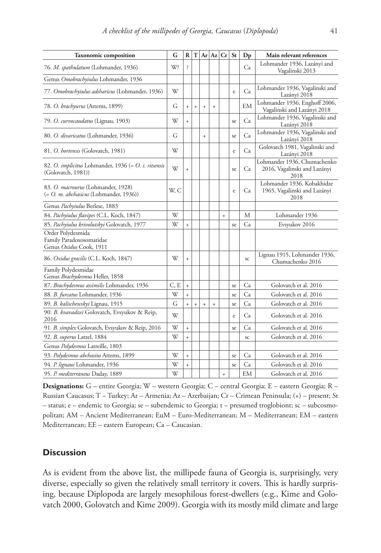| <b>Taxonomic composition</b>                                                             | G    | $\mathbf R$ | T   | Ar         | Az        | Cr        | St | $\mathbf{D}\mathbf{p}$ | Main relevant references                                            |
|------------------------------------------------------------------------------------------|------|-------------|-----|------------|-----------|-----------|----|------------------------|---------------------------------------------------------------------|
| 76. M. spathulatum (Lohmander, 1936)                                                     | W?   | ?           |     |            |           |           |    | Ca                     | Lohmander 1936, Lazányi and<br>Vagalinski 2013                      |
| Genus Omobrachyiulus Lohmander, 1936                                                     |      |             |     |            |           |           |    |                        |                                                                     |
| 77. Omobrachyiulus adsharicus (Lohmander, 1936)                                          | W    |             |     |            |           |           | e  | Ca                     | Lohmander 1936, Vagalinski and<br>Lazányi 2018                      |
| 78. O. brachyurus (Attems, 1899)                                                         | G    | $\ddot{}$   | $+$ | $+$        | $\ddot{}$ |           |    | <b>EM</b>              | Lohmander 1936, Enghoff 2006,<br>Vagalinski and Lazányi 2018        |
| 79. O. curvocaudatus (Lignau, 1903)                                                      | W    | $\ddot{}$   |     |            |           |           | se | Ca                     | Lohmander 1936, Vagalinski and<br>Lazányi 2018                      |
| 80. O. divaricatus (Lohmander, 1936)                                                     | G    |             |     | $\ddot{+}$ |           |           | se | Ca                     | Lohmander 1936, Vagalinski and<br>Lazányi 2018                      |
| 81. O. hortensis (Golovatch, 1981)                                                       | W    |             |     |            |           |           | e  | Ca                     | Golovatch 1981, Vagalinski and<br>Lazányi 2018                      |
| 82. O. <i>implicitus</i> Lohmander, 1936 (= O. <i>i. ritsensis</i><br>(Golovatch, 1981)) | W    | $\ddot{}$   |     |            |           |           | se | Ca                     | Lohmander 1936, Chumachenko<br>2016, Vagalinski and Lazányi<br>2018 |
| 83. O. macrourus (Lohmander, 1928)<br>(= O. m. abchasicus (Lohmander, 1936))             | W, C |             |     |            |           |           | e  | Ca                     | Lohmander 1936, Kobakhidze<br>1965, Vagalinski and Lazányi<br>2018  |
| Genus Pachyiulus Berlese, 1883                                                           |      |             |     |            |           |           |    |                        |                                                                     |
| 84. Pachyiulus flavipes (C.L. Koch, 1847)                                                | W    |             |     |            |           | $\ddot{}$ |    | М                      | Lohmander 1936                                                      |
| 85. Pachyiulus krivolutskyi Golovatch, 1977                                              | W    | $\ddot{}$   |     |            |           |           | se | Ca                     | Evsyukov 2016                                                       |
| Order Polydesmida<br>Family Paradoxosomatidae<br>Genus Oxidus Cook, 1911                 |      |             |     |            |           |           |    |                        |                                                                     |
| 86. Oxidus gracilis (C.L. Koch, 1847)                                                    | W    | $\ddot{}$   |     |            |           |           |    | SC                     | Lignau 1915, Lohmander 1936,<br>Chumachenko 2016                    |
| Family Polydesmidae<br>Genus Brachydesmus Heller, 1858                                   |      |             |     |            |           |           |    |                        |                                                                     |
| 87. Brachydesmus assimilis Lohmander, 1936                                               | C, E | $\ddot{}$   |     |            |           |           | se | Ca                     | Golovatch et al. 2016                                               |
| 88. B. furcatus Lohmander, 1936                                                          | W    | $\ddot{}$   |     |            |           |           | se | Ca                     | Golovatch et al. 2016                                               |
| 89. B. kalischewskyi Lignau, 1915                                                        | G    | $\ddot{}$   | $+$ | $\ddot{+}$ | $\ddot{}$ |           | se | Ca                     | Golovatch et al. 2016                                               |
| 90. B. kvavadzei Golovatch, Evsyukov & Reip,<br>2016                                     | W    |             |     |            |           |           | e  | Ca                     | Golovatch et al. 2016                                               |
| 91. B. simplex Golovatch, Evsyukov & Reip, 2016                                          | W    | $\ddot{}$   |     |            |           |           | se | Ca                     | Golovatch et al. 2016                                               |
| 92. B. superus Latzel, 1884                                                              | W    | $\ddot{}$   |     |            |           |           |    | SC                     | Golovatch et al. 2016                                               |
| Genus Polydesmus Latreille, 1803                                                         |      |             |     |            |           |           |    |                        |                                                                     |
| 93. Polydesmus abchasius Attems, 1899                                                    | W    | $\ddot{}$   |     |            |           |           | se | Ca                     | Golovatch et al. 2016                                               |
| 94. P. lignaui Lohmander, 1936                                                           | W    | $\ddot{}$   |     |            |           |           | se | Ca                     | Golovatch et al. 2016                                               |
| 95. P. mediterraneus Daday, 1889                                                         | W    |             |     |            |           | $\ddot{}$ |    | EM                     | Golovatch et al. 2016                                               |

**Designations:** G – entire Georgia; W – western Georgia; C – central Georgia; E – eastern Georgia; R – Russian Caucasus; T – Turkey; Ar – Armenia; Az – Azerbaijan; Cr – Crimean Peninsula; (+) – present; St – status; e – endemic to Georgia; se – subendemic to Georgia; t – presumed troglobiont; sc – subcosmopolitan; AM – Ancient Mediterranean; EuM – Euro-Mediterranean; M – Mediterranean; EM – eastern Mediterranean; EE – eastern European; Ca – Caucasian.

## **Discussion**

As is evident from the above list, the millipede fauna of Georgia is, surprisingly, very diverse, especially so given the relatively small territory it covers. This is hardly surprising, because Diplopoda are largely mesophilous forest-dwellers (e.g., Kime and Golovatch 2000, Golovatch and Kime 2009). Georgia with its mostly mild climate and large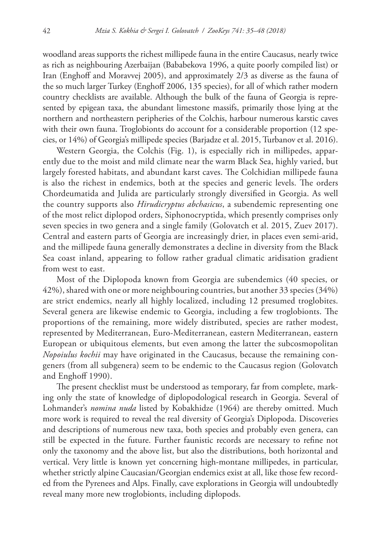woodland areas supports the richest millipede fauna in the entire Caucasus, nearly twice as rich as neighbouring Azerbaijan (Bababekova 1996, a quite poorly compiled list) or Iran (Enghoff and Moravvej 2005), and approximately 2/3 as diverse as the fauna of the so much larger Turkey (Enghoff 2006, 135 species), for all of which rather modern country checklists are available. Although the bulk of the fauna of Georgia is represented by epigean taxa, the abundant limestone massifs, primarily those lying at the northern and northeastern peripheries of the Colchis, harbour numerous karstic caves with their own fauna. Troglobionts do account for a considerable proportion (12 species, or 14%) of Georgia's millipede species (Barjadze et al. 2015, Turbanov et al. 2016).

Western Georgia, the Colchis (Fig. 1), is especially rich in millipedes, apparently due to the moist and mild climate near the warm Black Sea, highly varied, but largely forested habitats, and abundant karst caves. The Colchidian millipede fauna is also the richest in endemics, both at the species and generic levels. The orders Chordeumatida and Julida are particularly strongly diversified in Georgia. As well the country supports also *Hirudicryptus abchasicus*, a subendemic representing one of the most relict diplopod orders, Siphonocryptida, which presently comprises only seven species in two genera and a single family (Golovatch et al. 2015, Zuev 2017). Central and eastern parts of Georgia are increasingly drier, in places even semi-arid, and the millipede fauna generally demonstrates a decline in diversity from the Black Sea coast inland, appearing to follow rather gradual climatic aridisation gradient from west to east.

Most of the Diplopoda known from Georgia are subendemics (40 species, or 42%), shared with one or more neighbouring countries, but another 33 species (34%) are strict endemics, nearly all highly localized, including 12 presumed troglobites. Several genera are likewise endemic to Georgia, including a few troglobionts. The proportions of the remaining, more widely distributed, species are rather modest, represented by Mediterranean, Euro-Mediterranean, eastern Mediterranean, eastern European or ubiquitous elements, but even among the latter the subcosmopolitan *Nopoiulus kochii* may have originated in the Caucasus, because the remaining congeners (from all subgenera) seem to be endemic to the Caucasus region (Golovatch and Enghoff 1990).

The present checklist must be understood as temporary, far from complete, marking only the state of knowledge of diplopodological research in Georgia. Several of Lohmander's *nomina nuda* listed by Kobakhidze (1964) are thereby omitted. Much more work is required to reveal the real diversity of Georgia's Diplopoda. Discoveries and descriptions of numerous new taxa, both species and probably even genera, can still be expected in the future. Further faunistic records are necessary to refine not only the taxonomy and the above list, but also the distributions, both horizontal and vertical. Very little is known yet concerning high-montane millipedes, in particular, whether strictly alpine Caucasian/Georgian endemics exist at all, like those few recorded from the Pyrenees and Alps. Finally, cave explorations in Georgia will undoubtedly reveal many more new troglobionts, including diplopods.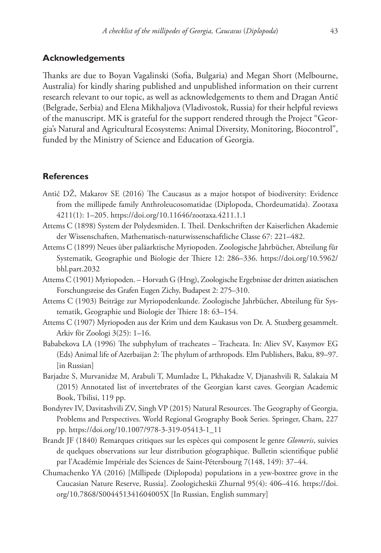### **Acknowledgements**

Thanks are due to Boyan Vagalinski (Sofia, Bulgaria) and Megan Short (Melbourne, Australia) for kindly sharing published and unpublished information on their current research relevant to our topic, as well as acknowledgements to them and Dragan Antić (Belgrade, Serbia) and Elena Mikhaljova (Vladivostok, Russia) for their helpful reviews of the manuscript. MK is grateful for the support rendered through the Project "Georgia's Natural and Agricultural Ecosystems: Animal Diversity, Monitoring, Biocontrol", funded by the Ministry of Science and Education of Georgia.

### **References**

- Antić DŽ, Makarov SE (2016) The Caucasus as a major hotspot of biodiversity: Evidence from the millipede family Anthroleucosomatidae (Diplopoda, Chordeumatida). Zootaxa 4211(1): 1–205. <https://doi.org/10.11646/zootaxa.4211.1.1>
- Attems C (1898) System der Polydesmiden. I. Theil. Denkschriften der Kaiserlichen Akademie der Wissenschaften, Mathematisch-naturwissenschaftliche Classe 67: 221–482.
- Attems C (1899) Neues über paläarktische Myriopoden. Zoologische Jahrbücher, Abteilung für Systematik, Geographie und Biologie der Thiere 12: 286–336. [https://doi.org/10.5962/](https://doi.org/10.5962/bhl.part.2032) [bhl.part.2032](https://doi.org/10.5962/bhl.part.2032)
- Attems C (1901) Myriopoden. Horvath G (Hrsg), Zoologische Ergebnisse der dritten asiatischen Forschungsreise des Grafen Eugen Zichy, Budapest 2: 275–310.
- Attems C (1903) Beiträge zur Myriopodenkunde. Zoologische Jahrbücher, Abteilung für Systematik, Geographie und Biologie der Thiere 18: 63–154.
- Attems C (1907) Myriopoden aus der Krim und dem Kaukasus von Dr. A. Stuxberg gesammelt. Arkiv för Zoologi 3(25): 1–16.
- Bababekova LA (1996) The subphylum of tracheates Tracheata. In: Aliev SV, Kasymov EG (Eds) Animal life of Azerbaijan 2: The phylum of arthropods. Elm Publishers, Baku, 89–97. [in Russian]
- Barjadze S, Murvanidze M, Arabuli T, Mumladze L, Pkhakadze V, Djanashvili R, Salakaia M (2015) Annotated list of invertebrates of the Georgian karst caves. Georgian Academic Book, Tbilisi, 119 pp.
- Bondyrev IV, Davitashvili ZV, Singh VP (2015) Natural Resources. The Geography of Georgia, Problems and Perspectives. World Regional Geography Book Series. Springer, Cham, 227 pp. [https://doi.org/10.1007/978-3-319-05413-1\\_11](https://doi.org/10.1007/978-3-319-05413-1_11)
- Brandt JF (1840) Remarques critiques sur les espèces qui composent le genre *Glomeris*, suivies de quelques observations sur leur distribution géographique. Bulletin scientifique publié par l'Académie Impériale des Sciences de Saint-Pétersbourg 7(148, 149): 37–44.
- Chumachenko YA (2016) [Millipede (Diplopoda) populations in a yew-boxtree grove in the Caucasian Nature Reserve, Russia]. Zoologicheskii Zhurnal 95(4): 406–416. [https://doi.](https://doi.org/10.7868/S004451341604005X) [org/10.7868/S004451341604005X](https://doi.org/10.7868/S004451341604005X) [In Russian, English summary]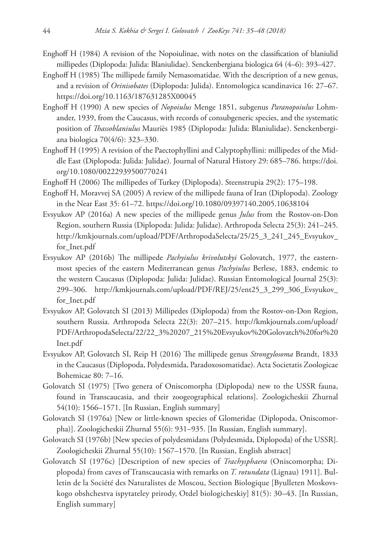- Enghoff H (1984) A revision of the Nopoiulinae, with notes on the classification of blaniulid millipedes (Diplopoda: Julida: Blaniulidae). Senckenbergiana biologica 64 (4–6): 393–427.
- Enghoff H (1985) The millipede family Nemasomatidae. With the description of a new genus, and a revision of *Orinisobates* (Diplopoda: Julida). Entomologica scandinavica 16: 27–67. <https://doi.org/10.1163/187631285X00045>
- Enghoff H (1990) A new species of *Nopoiulus* Menge 1851, subgenus *Paranopoiulus* Lohmander, 1939, from the Caucasus, with records of consubgeneric species, and the systematic position of *Thassoblaniulus* Mauriès 1985 (Diplopoda: Julida: Blaniulidae). Senckenbergiana biologica 70(4/6): 323–330.
- Enghoff H (1995) A revision of the Paectophyllini and Calyptophyllini: millipedes of the Middle East (Diplopoda: Julida: Julidae). Journal of Natural History 29: 685–786. [https://doi.](https://doi.org/10.1080/00222939500770241) [org/10.1080/00222939500770241](https://doi.org/10.1080/00222939500770241)
- Enghoff H (2006) The millipedes of Turkey (Diplopoda). Steenstrupia 29(2): 175–198.
- Enghoff H, Moravvej SA (2005) A review of the millipede fauna of Iran (Diplopoda). Zoology in the Near East 35: 61–72.<https://doi.org/10.1080/09397140.2005.10638104>
- Evsyukov AP (2016a) A new species of the millipede genus *Julus* from the Rostov-on-Don Region, southern Russia (Diplopoda: Julida: Julidae). Arthropoda Selecta 25(3): 241–245. [http://kmkjournals.com/upload/PDF/ArthropodaSelecta/25/25\\_3\\_241\\_245\\_Evsyukov\\_](http://kmkjournals.com/upload/PDF/ArthropodaSelecta/25/25_3_241_245_Evsyukov_for_Inet.pdf) [for\\_Inet.pdf](http://kmkjournals.com/upload/PDF/ArthropodaSelecta/25/25_3_241_245_Evsyukov_for_Inet.pdf)
- Evsyukov AP (2016b) The millipede *Pachyiulus krivolutskyi* Golovatch, 1977, the easternmost species of the eastern Mediterranean genus *Pachyiulus* Berlese, 1883, endemic to the western Caucasus (Diplopoda: Julida: Julidae). Russian Entomological Journal 25(3): 299–306. [http://kmkjournals.com/upload/PDF/REJ/25/ent25\\_3\\_299\\_306\\_Evsyukov\\_](http://kmkjournals.com/upload/PDF/REJ/25/ent25_3_299_306_Evsyukov_for_Inet.pdf) [for\\_Inet.pdf](http://kmkjournals.com/upload/PDF/REJ/25/ent25_3_299_306_Evsyukov_for_Inet.pdf)
- Evsyukov AP, Golovatch SI (2013) Millipedes (Diplopoda) from the Rostov-on-Don Region, southern Russia. Arthropoda Selecta 22(3): 207–215. [http://kmkjournals.com/upload/](http://kmkjournals.com/upload/PDF/ArthropodaSelecta/22/22_3%20207_215%20Evsyukov%20Golovatch%20for%20Inet.pdf) [PDF/ArthropodaSelecta/22/22\\_3%20207\\_215%20Evsyukov%20Golovatch%20for%20](http://kmkjournals.com/upload/PDF/ArthropodaSelecta/22/22_3%20207_215%20Evsyukov%20Golovatch%20for%20Inet.pdf) [Inet.pdf](http://kmkjournals.com/upload/PDF/ArthropodaSelecta/22/22_3%20207_215%20Evsyukov%20Golovatch%20for%20Inet.pdf)
- Evsyukov AP, Golovatch SI, Reip H (2016) The millipede genus *Strongylosoma* Brandt, 1833 in the Caucasus (Diplopoda, Polydesmida, Paradoxosomatidae). Acta Societatis Zoologicae Bohemicae 80: 7–16.
- Golovatch SI (1975) [Two genera of Oniscomorpha (Diplopoda) new to the USSR fauna, found in Transcaucasia, and their zoogeographical relations]. Zoologicheskii Zhurnal 54(10): 1566–1571. [In Russian, English summary]
- Golovatch SI (1976a) [New or little-known species of Glomeridae (Diplopoda, Oniscomorpha)]. Zoologicheskii Zhurnal 55(6): 931–935. [In Russian, English summary].
- Golovatch SI (1976b) [New species of polydesmidans (Polydesmida, Diplopoda) of the USSR]. Zoologicheskii Zhurnal 55(10): 1567–1570. [In Russian, English abstract]
- Golovatch SI (1976c) [Description of new species of *Trachysphaera* (Oniscomorpha; Diplopoda) from caves of Transcaucasia with remarks on *T. rotundata* (Lignau) 1911]. Bulletin de la Société des Naturalistes de Moscou, Section Biologique [Byulleten Moskovskogo obshchestva ispytateley prirody, Otdel biologicheskiy] 81(5): 30–43. [In Russian, English summary]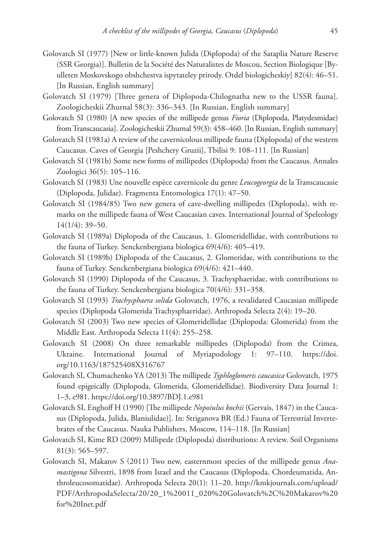- Golovatch SI (1977) [New or little-known Julida (Diplopoda) of the Sataplia Nature Reserve (SSR Georgia)]. Bulletin de la Société des Naturalistes de Moscou, Section Biologique [Byulleten Moskovskogo obshchestva ispytateley prirody. Otdel biologicheskiy] 82(4): 46–51. [In Russian, English summary]
- Golovatch SI (1979) [Three genera of Diplopoda-Chilognatha new to the USSR fauna]. Zoologicheskii Zhurnal 58(3): 336–343. [In Russian, English summary]
- Golovatch SI (1980) [A new species of the millipede genus *Fioria* (Diplopoda, Platydesmidae) from Transcaucasia]. Zoologicheskii Zhurnal 59(3): 458–460. [In Russian, English summary]
- Golovatch SI (1981a) A review of the cavernicolous millipede fauna (Diplopoda) of the western Caucasus. Caves of Georgia [Peshchery Gruzii], Tbilisi 9: 108–111. [In Russian]
- Golovatch SI (1981b) Some new forms of millipedes (Diplopoda) from the Caucasus. Annales Zoologici 36(5): 105–116.
- Golovatch SI (1983) Une nouvelle espèce cavernicole du genre *Leucogeorgia* de la Transcaucasie (Diplopoda, Julidae). Fragmenta Entomologica 17(1): 47–50.
- Golovatch SI (1984/85) Two new genera of cave-dwelling millipedes (Diplopoda), with remarks on the millipede fauna of West Caucasian caves. International Journal of Speleology 14(1/4): 39–50.
- Golovatch SI (1989a) Diplopoda of the Caucasus, 1. Glomeridellidae, with contributions to the fauna of Turkey. Senckenbergiana biologica 69(4/6): 405–419.
- Golovatch SI (1989b) Diplopoda of the Caucasus, 2. Glomeridae, with contributions to the fauna of Turkey. Senckenbergiana biologica 69(4/6): 421–440.
- Golovatch SI (1990) Diplopoda of the Caucasus, 3. Trachysphaeridae, with contributions to the fauna of Turkey. Senckenbergiana biologica 70(4/6): 331–358.
- Golovatch SI (1993) *Trachysphaera solida* Golovatch, 1976, a revalidated Caucasian millipede species (Diplopoda Glomerida Trachysphaeridae). Arthropoda Selecta 2(4): 19–20.
- Golovatch SI (2003) Two new species of Glomeridellidae (Diplopoda: Glomerida) from the Middle East. Arthropoda Selecta 11(4): 255–258.
- Golovatch SI (2008) On three remarkable millipedes (Diplopoda) from the Crimea, Ukraine. International Journal of Myriapodology 1: 97–110. [https://doi.](https://doi.org/10.1163/187525408X316767) [org/10.1163/187525408X316767](https://doi.org/10.1163/187525408X316767)
- Golovatch SI, Chumachenko YA (2013) The millipede *Typhloglomeris caucasica* Golovatch, 1975 found epigeically (Diplopoda, Glomerida, Glomeridellidae). Biodiversity Data Journal 1: 1–3, e981.<https://doi.org/10.3897/BDJ.1.e981>
- Golovatch SI, Enghoff H (1990) [The millipede *Nopoiulus kochii* (Gervais, 1847) in the Caucasus (Diplopoda, Julida, Blaniulidae)]. In: Striganova BR (Ed.) Fauna of Terrestrial Invertebrates of the Caucasus. Nauka Publishers, Moscow, 114–118. [In Russian]
- Golovatch SI, Kime RD (2009) Millipede (Diplopoda) distributions: A review. Soil Organisms 81(3): 565–597.
- Golovatch SI, Makarov S (2011) Two new, easternmost species of the millipede genus *Anamastigona* Silvestri, 1898 from Israel and the Caucasus (Diplopoda, Chordeumatida, Anthroleucosomatidae). Arthropoda Selecta 20(1): 11–20. [http://kmkjournals.com/upload/](http://kmkjournals.com/upload/PDF/ArthropodaSelecta/20/20_1%20011_020%20Golovatch,%20Makarov%20for%20Inet.pdf) [PDF/ArthropodaSelecta/20/20\\_1%20011\\_020%20Golovatch%2C%20Makarov%20](http://kmkjournals.com/upload/PDF/ArthropodaSelecta/20/20_1%20011_020%20Golovatch,%20Makarov%20for%20Inet.pdf) [for%20Inet.pdf](http://kmkjournals.com/upload/PDF/ArthropodaSelecta/20/20_1%20011_020%20Golovatch,%20Makarov%20for%20Inet.pdf)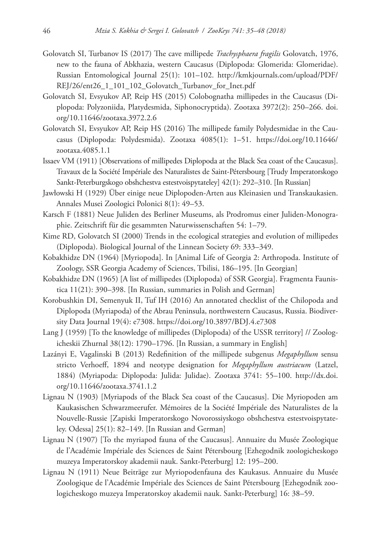- Golovatch SI, Turbanov IS (2017) The cave millipede *Trachysphaera fragilis* Golovatch, 1976, new to the fauna of Abkhazia, western Caucasus (Diplopoda: Glomerida: Glomeridae). Russian Entomological Journal 25(1): 101–102. [http://kmkjournals.com/upload/PDF/](http://kmkjournals.com/upload/PDF/REJ/26/ent26_1_101_102_Golovatch_Turbanov_for_Inet.pdf) [REJ/26/ent26\\_1\\_101\\_102\\_Golovatch\\_Turbanov\\_for\\_Inet.pdf](http://kmkjournals.com/upload/PDF/REJ/26/ent26_1_101_102_Golovatch_Turbanov_for_Inet.pdf)
- Golovatch SI, Evsyukov AP, Reip HS (2015) Colobognatha millipedes in the Caucasus (Diplopoda: Polyzoniida, Platydesmida, Siphonocryptida). Zootaxa 3972(2): 250–266. doi. org/10.11646/zootaxa.3972.2.6
- Golovatch SI, Evsyukov AP, Reip HS (2016) The millipede family Polydesmidae in the Caucasus (Diplopoda: Polydesmida). Zootaxa 4085(1): 1–51. [https://doi.org/10.11646/](https://doi.org/10.11646/zootaxa.4085.1.1) [zootaxa.4085.1.1](https://doi.org/10.11646/zootaxa.4085.1.1)
- Issaev VM (1911) [Observations of millipedes Diplopoda at the Black Sea coast of the Caucasus]. Travaux de la Société Impériale des Naturalistes de Saint-Pétersbourg [Trudy Imperatorskogo Sankt-Peterburgskogo obshchestva estestvoispytateley] 42(1): 292–310. [In Russian]
- Jawłowski H (1929) Über einige neue Diplopoden-Arten aus Kleinasien und Transkaukasien. Annales Musei Zoologici Polonici 8(1): 49–53.
- Karsch F (1881) Neue Juliden des Berliner Museums, als Prodromus einer Juliden-Monographie. Zeitschrift für die gesammten Naturwissenschaften 54: 1–79.
- Kime RD, Golovatch SI (2000) Trends in the ecological strategies and evolution of millipedes (Diplopoda). Biological Journal of the Linnean Society 69: 333–349.
- Kobakhidze DN (1964) [Myriopoda]. In [Animal Life of Georgia 2: Arthropoda. Institute of Zoology, SSR Georgia Academy of Sciences, Tbilisi, 186–195. [In Georgian]
- Kobakhidze DN (1965) [A list of millipedes (Diplopoda) of SSR Georgia]. Fragmenta Faunistica 11(21): 390–398. [In Russian, summaries in Polish and German]
- Korobushkin DI, Semenyuk II, Tuf IH (2016) An annotated checklist of the Chilopoda and Diplopoda (Myriapoda) of the Abrau Peninsula, northwestern Caucasus, Russia. Biodiversity Data Journal 19(4): e7308. <https://doi.org/10.3897/BDJ.4.e7308>
- Lang J (1959) [To the knowledge of millipedes (Diplopoda) of the USSR territory] // Zoologicheskii Zhurnal 38(12): 1790–1796. [In Russian, a summary in English]
- Lazányi E, Vagalinski B (2013) Redefinition of the millipede subgenus *Megaphyllum* sensu stricto Verhoeff, 1894 and neotype designation for *Megaphyllum austriacum* (Latzel, 1884) (Myriapoda: Diplopoda: Julida: Julidae). Zootaxa 3741: 55–100. [http://dx.doi.](http://dx.doi.org/10.11646/zootaxa.3741.1.2) [org/10.11646/zootaxa.3741.1.2](http://dx.doi.org/10.11646/zootaxa.3741.1.2)
- Lignau N (1903) [Myriapods of the Black Sea coast of the Caucasus]. Die Myriopoden am Kaukasischen Schwarzmeerufer. Mémoires de la Société Impériale des Naturalistes de la Nouvelle-Russie [Zapiski Imperatorskogo Novorossiyskogo obshchestva estestvoispytateley. Odessa] 25(1): 82–149. [In Russian and German]
- Lignau N (1907) [To the myriapod fauna of the Caucasus]. Annuaire du Musée Zoologique de l'Académie Impériale des Sciences de Saint Pétersbourg [Ezhegodnik zoologicheskogo muzeya Imperatorskoy akademii nauk. Sankt-Peterburg] 12: 195–200.
- Lignau N (1911) Neue Beiträge zur Myriopodenfauna des Kaukasus. Annuaire du Musée Zoologique de l'Académie Impériale des Sciences de Saint Pétersbourg [Ezhegodnik zoologicheskogo muzeya Imperatorskoy akademii nauk. Sankt-Peterburg] 16: 38–59.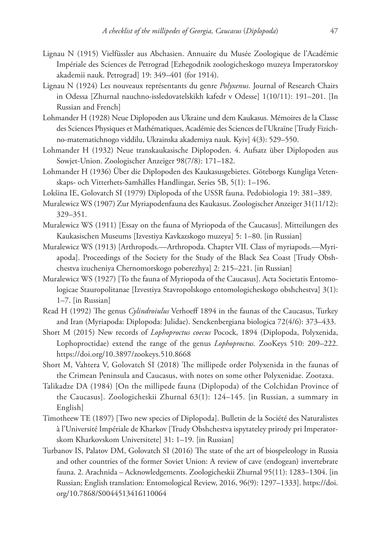- Lignau N (1915) Vielfüssler aus Abchasien. Annuaire du Musée Zoologique de l'Académie Impériale des Sciences de Petrograd [Ezhegodnik zoologicheskogo muzeya Imperatorskoy akademii nauk. Petrograd] 19: 349–401 (for 1914).
- Lignau N (1924) Les nouveaux représentants du genre *Polyxenus*. Journal of Research Chairs in Odessa [Zhurnal nauchno-issledovatelskikh kafedr v Odesse] 1(10/11): 191–201. [In Russian and French]
- Lohmander H (1928) Neue Diplopoden aus Ukraine und dem Kaukasus. Mémoires de la Classe des Sciences Physiques et Mathématiques, Académie des Sciences de l'Ukraïne [Trudy Fizichno-matematichnogo viddilu, Ukrainska akademiya nauk. Kyiv] 4(3): 529–550.
- Lohmander H (1932) Neue transkaukasische Diplopoden. 4. Aufsatz über Diplopoden aus Sowjet-Union. Zoologischer Anzeiger 98(7/8): 171–182.
- Lohmander H (1936) Über die Diplopoden des Kaukasusgebietes. Göteborgs Kungliga Vetenskaps- och Vitterhets-Samhälles Handlingar, Series 5B, 5(1): 1–196.
- Lokšina IE, Golovatch SI (1979) Diplopoda of the USSR fauna. Pedobiologia 19: 381–389.
- Muralewicz WS (1907) Zur Myriapodenfauna des Kaukasus. Zoologischer Anzeiger 31(11/12): 329–351.
- Muralewicz WS (1911) [Essay on the fauna of Myriopoda of the Caucasus]. Mitteilungen des Kaukasischen Museums [Izvestiya Kavkazskogo muzeya] 5: 1–80. [in Russian]
- Muralewicz WS (1913) [Arthropods.—Arthropoda. Chapter VII. Class of myriapods.—Myriapoda]. Proceedings of the Society for the Study of the Black Sea Coast [Trudy Obshchestva izucheniya Chernomorskogo poberezhya] 2: 215–221. [in Russian]
- Muralewicz WS (1927) [To the fauna of Myriopoda of the Caucasus]. Acta Societatis Entomologicae Stauropolitanae [Izvestiya Stavropolskogo entomologicheskogo obshchestva] 3(1): 1–7. [in Russian]
- Read H (1992) The genus *Cylindroiulus* Verhoeff 1894 in the faunas of the Caucasus, Turkey and Iran (Myriapoda: Diplopoda: Julidae). Senckenbergiana biologica 72(4/6): 373–433.
- Short M (2015) New records of *Lophoproctus coecus* Pocock, 1894 (Diplopoda, Polyxenida, Lophoproctidae) extend the range of the genus *Lophoproctus.* ZooKeys 510: 209–222. <https://doi.org/10.3897/zookeys.510.8668>
- Short M, Vahtera V, Golovatch SI (2018) The millipede order Polyxenida in the faunas of the Crimean Peninsula and Caucasus, with notes on some other Polyxenidae. Zootaxa.
- Talikadze DA (1984) [On the millipede fauna (Diplopoda) of the Colchidan Province of the Caucasus]. Zoologicheskii Zhurnal 63(1): 124–145. [in Russian, a summary in English]
- Timotheew TE (1897) [Two new species of Diplopoda]. Bulletin de la Société des Naturalistes à l'Université Impériale de Kharkov [Trudy Obshchestva ispytateley prirody pri Imperatorskom Kharkovskom Universitete] 31: 1–19. [in Russian]
- Turbanov IS, Palatov DM, Golovatch SI (2016) The state of the art of biospeleology in Russia and other countries of the former Soviet Union: A review of cave (endogean) invertebrate fauna. 2. Arachnida – Acknowledgements. Zoologicheskii Zhurnal 95(11): 1283–1304. [in Russian; English translation: Entomological Review, 2016, 96(9): 1297–1333]. [https://doi.](https://doi.org/10.7868/S0044513416110064) [org/10.7868/S0044513416110064](https://doi.org/10.7868/S0044513416110064)